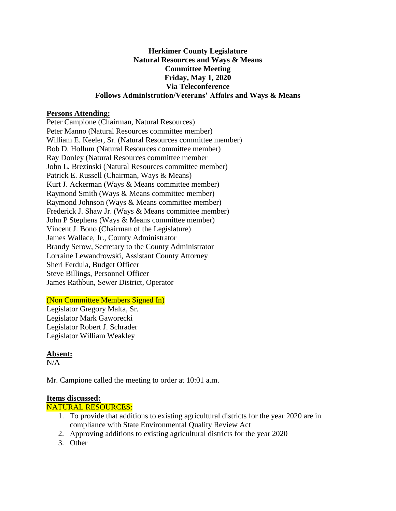#### **Herkimer County Legislature Natural Resources and Ways & Means Committee Meeting Friday, May 1, 2020 Via Teleconference Follows Administration/Veterans' Affairs and Ways & Means**

#### **Persons Attending:**

Peter Campione (Chairman, Natural Resources) Peter Manno (Natural Resources committee member) William E. Keeler, Sr. (Natural Resources committee member) Bob D. Hollum (Natural Resources committee member) Ray Donley (Natural Resources committee member John L. Brezinski (Natural Resources committee member) Patrick E. Russell (Chairman, Ways & Means) Kurt J. Ackerman (Ways & Means committee member) Raymond Smith (Ways & Means committee member) Raymond Johnson (Ways & Means committee member) Frederick J. Shaw Jr. (Ways & Means committee member) John P Stephens (Ways & Means committee member) Vincent J. Bono (Chairman of the Legislature) James Wallace, Jr., County Administrator Brandy Serow, Secretary to the County Administrator Lorraine Lewandrowski, Assistant County Attorney Sheri Ferdula, Budget Officer Steve Billings, Personnel Officer James Rathbun, Sewer District, Operator

# (Non Committee Members Signed In)

Legislator Gregory Malta, Sr. Legislator Mark Gaworecki Legislator Robert J. Schrader Legislator William Weakley

# **Absent:**

 $N/A$ 

Mr. Campione called the meeting to order at 10:01 a.m.

#### **Items discussed:**

NATURAL RESOURCES:

- 1. To provide that additions to existing agricultural districts for the year 2020 are in compliance with State Environmental Quality Review Act
- 2. Approving additions to existing agricultural districts for the year 2020
- 3. Other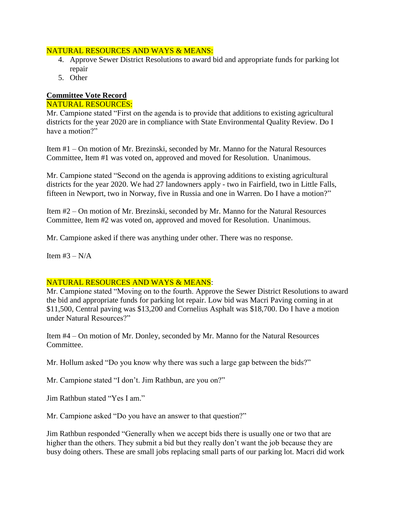### NATURAL RESOURCES AND WAYS & MEANS:

- 4. Approve Sewer District Resolutions to award bid and appropriate funds for parking lot repair
- 5. Other

# **Committee Vote Record**

# NATURAL RESOURCES:

Mr. Campione stated "First on the agenda is to provide that additions to existing agricultural districts for the year 2020 are in compliance with State Environmental Quality Review. Do I have a motion?"

Item #1 – On motion of Mr. Brezinski, seconded by Mr. Manno for the Natural Resources Committee, Item #1 was voted on, approved and moved for Resolution. Unanimous.

Mr. Campione stated "Second on the agenda is approving additions to existing agricultural districts for the year 2020. We had 27 landowners apply - two in Fairfield, two in Little Falls, fifteen in Newport, two in Norway, five in Russia and one in Warren. Do I have a motion?"

Item #2 – On motion of Mr. Brezinski, seconded by Mr. Manno for the Natural Resources Committee, Item #2 was voted on, approved and moved for Resolution. Unanimous.

Mr. Campione asked if there was anything under other. There was no response.

Item  $#3 - N/A$ 

# NATURAL RESOURCES AND WAYS & MEANS:

Mr. Campione stated "Moving on to the fourth. Approve the Sewer District Resolutions to award the bid and appropriate funds for parking lot repair. Low bid was Macri Paving coming in at \$11,500, Central paving was \$13,200 and Cornelius Asphalt was \$18,700. Do I have a motion under Natural Resources?"

Item #4 – On motion of Mr. Donley, seconded by Mr. Manno for the Natural Resources Committee.

Mr. Hollum asked "Do you know why there was such a large gap between the bids?"

Mr. Campione stated "I don't. Jim Rathbun, are you on?"

Jim Rathbun stated "Yes I am."

Mr. Campione asked "Do you have an answer to that question?"

Jim Rathbun responded "Generally when we accept bids there is usually one or two that are higher than the others. They submit a bid but they really don't want the job because they are busy doing others. These are small jobs replacing small parts of our parking lot. Macri did work